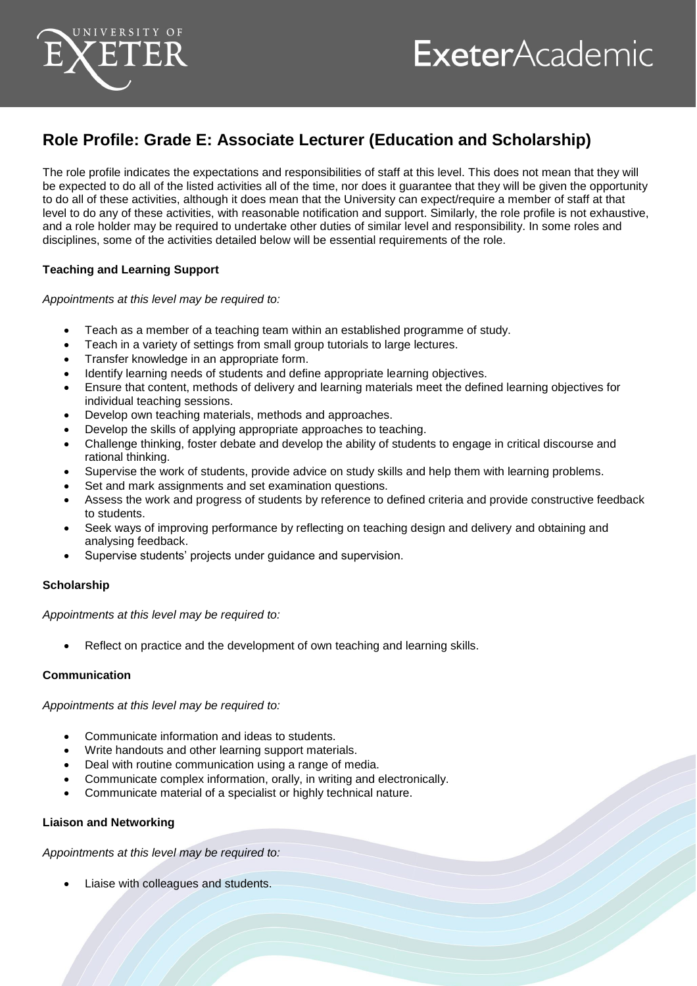

# **ExeterAcademic**

# **Role Profile: Grade E: Associate Lecturer (Education and Scholarship)**

The role profile indicates the expectations and responsibilities of staff at this level. This does not mean that they will be expected to do all of the listed activities all of the time, nor does it guarantee that they will be given the opportunity to do all of these activities, although it does mean that the University can expect/require a member of staff at that level to do any of these activities, with reasonable notification and support. Similarly, the role profile is not exhaustive, and a role holder may be required to undertake other duties of similar level and responsibility. In some roles and disciplines, some of the activities detailed below will be essential requirements of the role.

# **Teaching and Learning Support**

### *Appointments at this level may be required to:*

- Teach as a member of a teaching team within an established programme of study.
- Teach in a variety of settings from small group tutorials to large lectures.
- Transfer knowledge in an appropriate form.
- Identify learning needs of students and define appropriate learning objectives.
- Ensure that content, methods of delivery and learning materials meet the defined learning objectives for individual teaching sessions.
- Develop own teaching materials, methods and approaches.
- Develop the skills of applying appropriate approaches to teaching.
- Challenge thinking, foster debate and develop the ability of students to engage in critical discourse and rational thinking.
- Supervise the work of students, provide advice on study skills and help them with learning problems.
- Set and mark assignments and set examination questions.
- Assess the work and progress of students by reference to defined criteria and provide constructive feedback to students.
- Seek ways of improving performance by reflecting on teaching design and delivery and obtaining and analysing feedback.
- Supervise students' projects under guidance and supervision.

### **Scholarship**

*Appointments at this level may be required to:*

Reflect on practice and the development of own teaching and learning skills.

### **Communication**

*Appointments at this level may be required to:*

- Communicate information and ideas to students.
- Write handouts and other learning support materials.
- Deal with routine communication using a range of media.
- Communicate complex information, orally, in writing and electronically.
- Communicate material of a specialist or highly technical nature.

### **Liaison and Networking**

*Appointments at this level may be required to:*

Liaise with colleagues and students.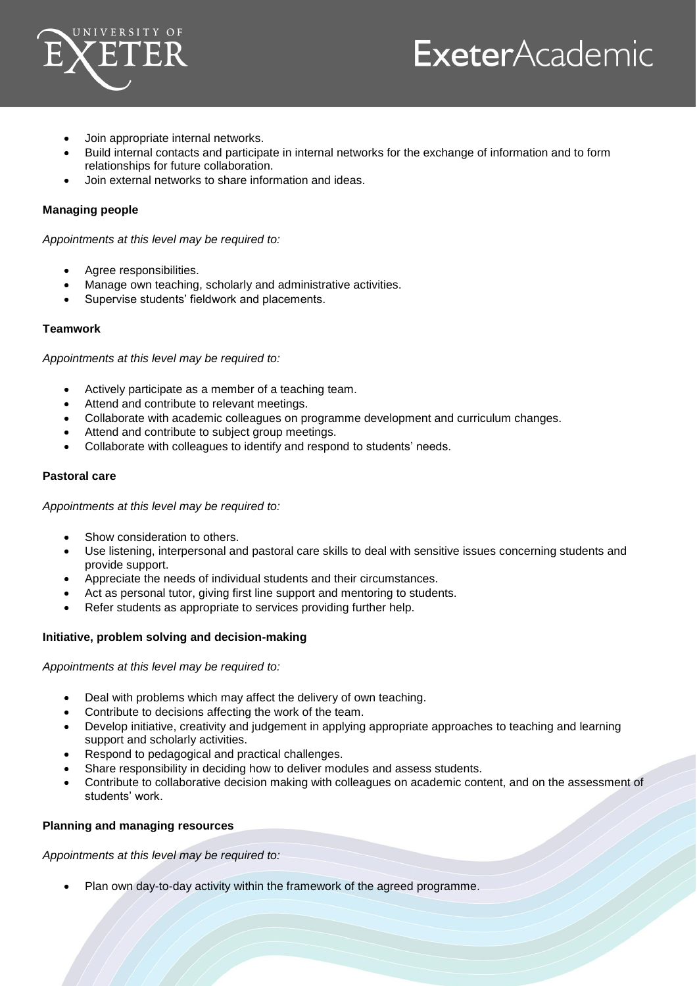

# **ExeterAcademic**

- Join appropriate internal networks.
- Build internal contacts and participate in internal networks for the exchange of information and to form relationships for future collaboration.
- Join external networks to share information and ideas.

## **Managing people**

*Appointments at this level may be required to:*

- Agree responsibilities.
- Manage own teaching, scholarly and administrative activities.
- Supervise students' fieldwork and placements.

#### **Teamwork**

*Appointments at this level may be required to:*

- Actively participate as a member of a teaching team.
- Attend and contribute to relevant meetings.
- Collaborate with academic colleagues on programme development and curriculum changes.
- Attend and contribute to subject group meetings.
- Collaborate with colleagues to identify and respond to students' needs.

#### **Pastoral care**

*Appointments at this level may be required to:*

- Show consideration to others.
- Use listening, interpersonal and pastoral care skills to deal with sensitive issues concerning students and provide support.
- Appreciate the needs of individual students and their circumstances.
- Act as personal tutor, giving first line support and mentoring to students.
- Refer students as appropriate to services providing further help.

### **Initiative, problem solving and decision-making**

*Appointments at this level may be required to:*

- Deal with problems which may affect the delivery of own teaching.
- Contribute to decisions affecting the work of the team.
- Develop initiative, creativity and judgement in applying appropriate approaches to teaching and learning support and scholarly activities.
- Respond to pedagogical and practical challenges.
- Share responsibility in deciding how to deliver modules and assess students.
- Contribute to collaborative decision making with colleagues on academic content, and on the assessment of students' work.

### **Planning and managing resources**

*Appointments at this level may be required to:*

Plan own day-to-day activity within the framework of the agreed programme.